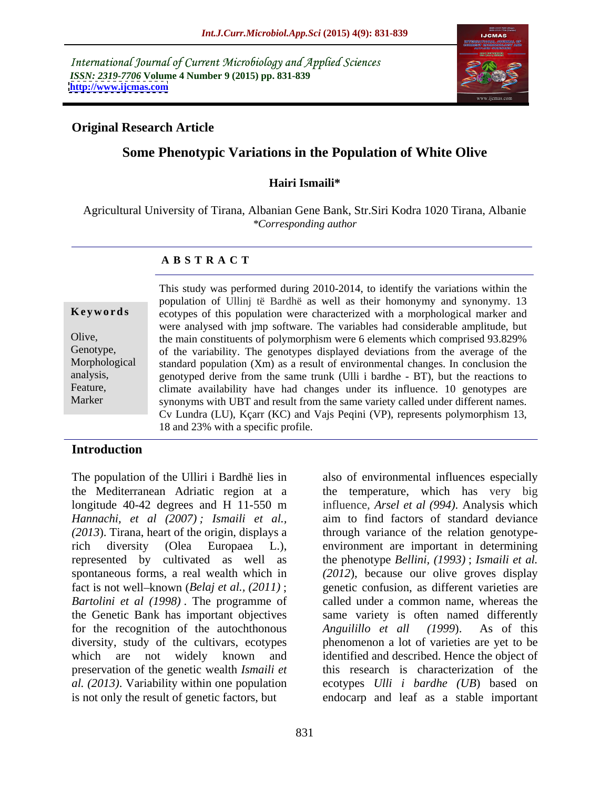International Journal of Current Microbiology and Applied Sciences *ISSN: 2319-7706* **Volume 4 Number 9 (2015) pp. 831-839 <http://www.ijcmas.com>**



## **Original Research Article**

# **Some Phenotypic Variations in the Population of White Olive**

### **Hairi Ismaili\***

Agricultural University of Tirana, Albanian Gene Bank, Str.Siri Kodra 1020 Tirana, Albanie *\*Corresponding author*

### **A B S T R A C T**

Marker

This study was performed during 2010-2014, to identify the variations within the population of Ullinj të Bardhë as well as their homonymy and synonymy. 13 **Keywords** ecotypes of this population were characterized with a morphological marker and were analysed with jmp software. The variables had considerable amplitude, but the main constituents of polymorphism were 6 elements which comprised 93.829% Olive, Genotype, of the variability. The genotypes displayed deviations from the average of the Morphological standard population (Xm) as a result of environmental changes. In conclusion the genotyped derive from the same trunk (Ulli i bardhe - BT), but the reactions to analysis, Feature, climate availability have had changes under its influence. 10 genotypes are synonyms with UBT and result from the same variety called under different names. Cv Lundra (LU), Kçarr (KC) and Vajs Peqini (VP), represents polymorphism 13, 18 and 23% with a specific profile.

# **Introduction**

The population of the Ulliri i Bardhë lies in also of environmental influences especially the Mediterranean Adriatic region at a the temperature, which has very big longitude 40-42 degrees and H 11-550 m influence, *Arsel et al (994)*. Analysis which *Hannachi, et al (2007) ; Ismaili et al., (2013*). Tirana, heart of the origin, displays a through variance of the relation genotype rich diversity (Olea Europaea L.), environment are important in determining represented by cultivated as well as spontaneous forms, a real wealth which in *(2012*), because our olive groves display fact is not well–known (*Belaj et al.,* (2011); genetic confusion, as different varieties are *Bartolini et al (1998)* . The programme of called under a common name, whereas the the Genetic Bank has important objectives same variety is often named differently for the recognition of the autochthonous Anguilillo et all (1999). As of this diversity, study of the cultivars, ecotypes phenomenon a lot of varieties are yet to be which are not widely known and identified and described. Hence the object of preservation of the genetic wealth *Ismaili et* this research is characterization of the *al. (2013)*. Variability within one population is not only the result of genetic factors, but endocarp and leaf as a stable important

aim to find factors of standard deviance the phenotype *Bellini, (1993)*; *Ismaili et al. Anguilillo et all (1999*). As of this ecotypes *Ulli i bardhe (UB*) based on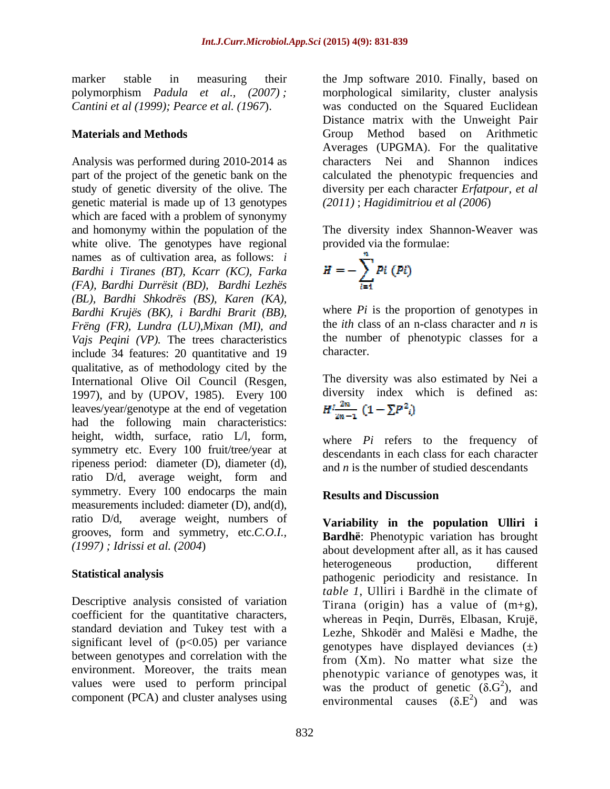genetic material is made up of 13 genotypes which are faced with a problem of synonymy and homonymy within the population of the white olive. The genotypes have regional names as of cultivation area, as follows: *i Bardhi i Tiranes (BT), Kcarr (KC), Farka (FA), Bardhi Durrësit (BD), Bardhi Lezhës (BL), Bardhi Shkodrës (BS), Karen (KA), Bardhi Krujës (BK), i Bardhi Brarit (BB), Frëng (FR), Lundra (LU),Mixan (MI), and Vajs Peqini (VP)*. The trees characteristics the numb<br>include 34 features: 20 quantitative and 19 character. include 34 features: 20 quantitative and 19 qualitative, as of methodology cited by the International Olive Oil Council (Resgen, 1997), and by (UPOV, 1985). Every 100 diversity index<br>leaves/year/genotype at the end of vegetation  $H^1 \frac{2n}{m-1} (1 - \Sigma P^2)$ leaves/year/genotype at the end of vegetation had the following main characteristics: height, width, surface, ratio L/l, form, symmetry etc. Every 100 fruit/tree/year at ripeness period: diameter (D), diameter (d), ratio D/d, average weight, form and symmetry. Every 100 endocarps the main Results and Discussion measurements included: diameter (D), and(d), ratio D/d, average weight, numbers of **Variability in the population Ulliri i** grooves, form and symmetry, etc.*C.O.I.,* 

Descriptive analysis consisted of variation coefficient for the quantitative characters, standard deviation and Tukey test with a significant level of  $(p<0.05)$  per variance between genotypes and correlation with the environment. Moreover, the traits mean values were used to perform principal component (PCA) and cluster analyses using

marker stable in measuring their the Jmp software 2010. Finally, based on polymorphism *Padula et al., (2007) ;*  morphological similarity, cluster analysis *Cantini et al (1999); Pearce et al. (1967*). was conducted on the Squared Euclidean **Materials and Methods**  Group Method based on Arithmetic Analysis was performed during 2010-2014 as characters Nei and Shannon indices part of the project of the genetic bank on the calculated the phenotypic frequencies and study of genetic diversity of the olive. The diversity per each character*Erfatpour, et al* Distance matrix with the Unweight Pair Averages (UPGMA). For the qualitative *(2011)* ; *Hagidimitriou et al (2006*)

> The diversity index Shannon-Weaver was provided via the formulae:

$$
H=-\sum_{i=1}^n P_i(P_i)
$$

where *Pi* is the proportion of genotypes in the *ith* class of an n-class character and *n* is the number of phenotypic classes for a character.

The diversity was also estimated by Nei a diversity index which is defined as:

where *Pi* refers to the frequency of descendants in each class for each character and *n* is the number of studied descendants

# **Results and Discussion**

*(1997) ; Idrissi et al. (2004*) about development after all, as it has caused **Statistical analysis** pathogenic periodicity and resistance. In **Bardhë**: Phenotypic variation has brought heterogeneous production, different *table 1*, Ulliri i Bardhë in the climate of Tirana (origin) has a value of  $(m+g)$ , whereas in Peqin, Durrës, Elbasan, Krujë, Lezhe, Shkodër and Malësi e Madhe, the genotypes have displayed deviances  $(\pm)$ from (Xm). No matter what size the phenotypic variance of genotypes was, it was the product of genetic  $(\delta \mathbf{G}^2)$ , and  $^{2}$  and ), and environmental causes  $(\delta.E^2)$  and was  $^{2}$  and we we ) and was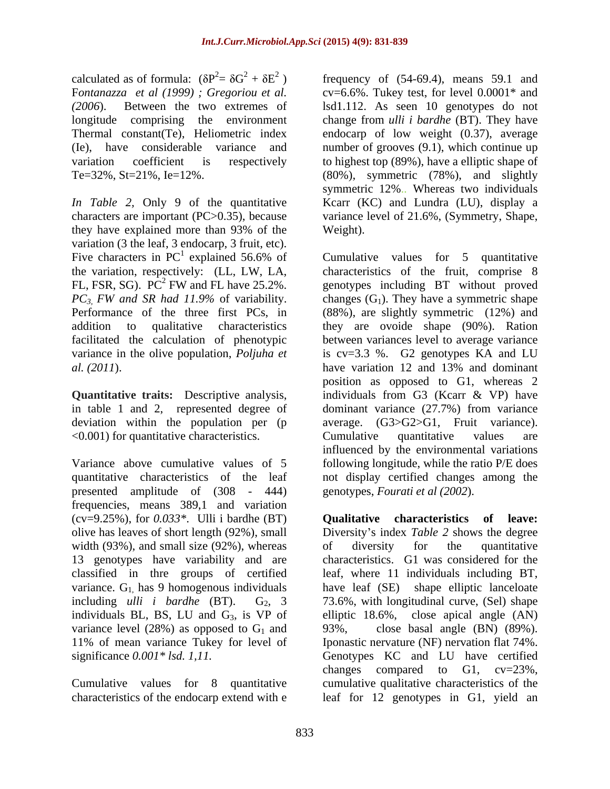calculated as of formula:  $(\delta P^2 = \delta G^2 + \delta E^2)$  frequency of (54-69.4), means 59.1 and F*ontanazza et al (1999) ; Gregoriou et al.* longitude comprising the environment

they have explained more than 93% of the variation (3 the leaf, 3 endocarp, 3 fruit, etc). Five characters in  $PC^1$  explained 56.6% of Cumulative values for 5 quantitative the variation, respectively: (LL, LW, LA, characteristics of the fruit, comprise 8 FL, FSR, SG).  $\overline{PC}^2$  FW and FL have 25.2%.

<0.001) for quantitative characteristics.

presented amplitude of (308 - 444) frequencies, means 389,1 and variation (cv=9.25%), for *0.033\**. Ulli i bardhe (BT) width (93%), and small size (92%), whereas of diversity for the quantitative variance.  $G_1$ , has 9 homogenous individuals individuals BL, BS, LU and  $G_3$ , is VP of elliptic 18.6%, variance level (28%) as opposed to  $G_1$  and 93%,<br>11% of mean variance Tukey for level of Iponas

characteristics of the endocarp extend with e leaf for 12 genotypes in G1, yield an

*(2006*). Between the two extremes of lsd1.112. As seen 10 genotypes do not Thermal constant(Te), Heliometric index endocarp of low weight (0.37), average (Ie), have considerable variance and number of grooves (9.1), which continue up variation coefficient is respectively to highest top (89%), have a elliptic shape of Te=32%, St=21%, Ie=12%. (80%), symmetric (78%), and slightly *In Table 2,* Only 9 of the quantitative Kcarr (KC) and Lundra (LU), display a characters are important (PC>0.35), because variance level of 21.6%, (Symmetry, Shape,  $cv=6.6\%$ . Tukey test, for level  $0.0001*$  and change from *ulli i bardhe* (BT). They have symmetric 12%.. Whereas two individuals Weight).

<sup>1</sup> explained 56.6% of Cumulative values for 5 quantitative explained 56.6% of Cumulative values for 5 quantitative the variation, respectively: (LL, LW, LA, characteristics of the fruit, comprise 8 FW and FL have 25.2%. genotypes including BT without proved *PC3, FW and SR had 11.9%* of variability. Performance of the three first PCs, in (88%), are slightly symmetric (12%) and addition to qualitative characteristics they are ovoide shape (90%). Ration facilitated the calculation of phenotypic between variances level to average variance variance in the olive population, *Poljuha et* is cv=3.3 %. G2 genotypes KA and LU *al. (2011*). have variation 12 and 13% and dominant **Quantitative traits:** Descriptive analysis, individuals from G3 (Kcarr & VP) have in table 1 and 2, represented degree of dominant variance (27.7%) from variance deviation within the population per (p average. (G3>G2>G1, Fruit variance). Variance above cumulative values of 5 following longitude, while the ratio P/E does quantitative characteristics of the leaf not display certified changes among the changes  $(G_1)$ . They have a symmetric shape position as opposed to G1, whereas 2 Cumulative quantitative values are influenced by the environmental variations genotypes, *Fourati et al (2002*).

olive has leaves of short length (92%), small Diversity's index *Table* 2 shows the degree 13 genotypes have variability and are characteristics. G1 was considered for the classified in thre groups of certified leaf, where 11 individuals including BT, including *ulli i bardhe* (BT). G<sub>2</sub>, 3 73.6%, with longitudinal curve, (Sel) shape 11% of mean variance Tukey for level of Iponastic nervature (NF) nervation flat 74%. significance *0.001\* lsd. 1,11.* Genotypes KC and LU have certified Cumulative values for 8 quantitative cumulative qualitative characteristics of the **Qualitative characteristics of leave:** of diversity for the quantitative have leaf (SE) shape elliptic lanceloate close apical angle  $(AN)$ close basal angle (BN) (89%). changes compared to G1, cv=23%,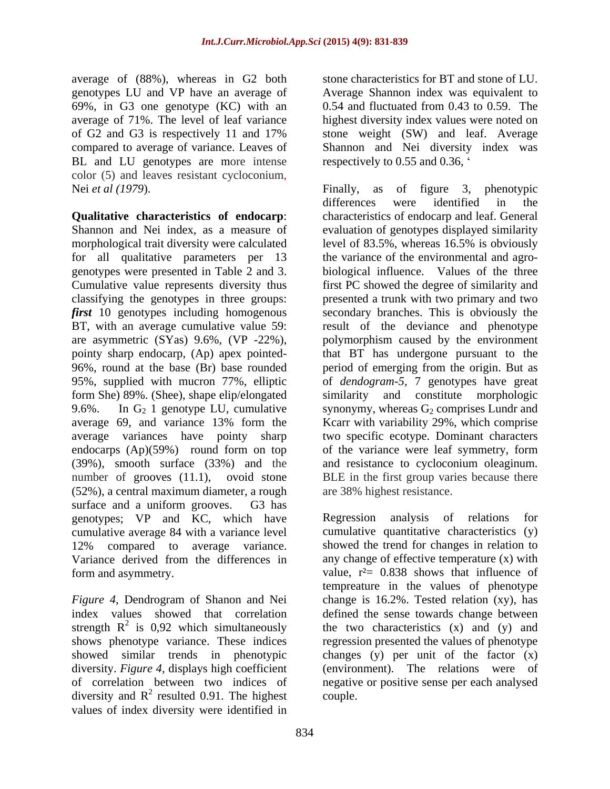average of (88%), whereas in G2 both stone characteristics for BT and stone of LU. genotypes LU and VP have an average of 69%, in G3 one genotype (KC) with an BL and LU genotypes are more intense color (5) and leaves resistant cycloconium,<br>Nei *et al (1979*). Finally, as of figure 3, phenotypic

**Qualitative characteristics of endocarp**: morphological trait diversity were calculated level of 83.5%, whereas 16.5% is obviously genotypes were presented in Table 2 and 3. average variances have pointy sharp endocarps (Ap)(59%) round form on top of the variance were leaf symmetry, form (52%), a central maximum diameter, a rough surface and a uniform grooves. G3 has genotypes; VP and KC, which have cumulative average 84 with a variance level 12% compared to average variance. Variance derived from the differences in

values of index diversity were identified in

average of 71%. The level of leaf variance highest diversity index values were noted on of G2 and G3 is respectively 11 and 17% stone weight (SW) and leaf. Average compared to average of variance. Leaves of Shannon and Nei diversity index was stone characteristics for BT and stone of LU. Average Shannon index was equivalent to 0.54 and fluctuated from 0.43 to 0.59. The respectively to 0.55 and 0.36,

Shannon and Nei index, as a measure of evaluation of genotypes displayed similarity for all qualitative parameters per 13 the variance of the environmental and agro- Cumulative value represents diversity thus first PC showed the degree of similarity and classifying the genotypes in three groups: presented a trunk with two primary and two *first* 10 genotypes including homogenous secondary branches. This is obviously the BT, with an average cumulative value 59: result of the deviance and phenotype are asymmetric (SYas) 9.6%, (VP -22%), polymorphism caused by the environment pointy sharp endocarp, (Ap) apex pointed- that BT has undergone pursuant to the 96%, round at the base (Br) base rounded period of emerging from the origin. But as 95%, supplied with mucron 77%, elliptic of *dendogram-5,* 7 genotypes have great form She) 89%. (Shee), shape elip/elongated similarity and constitute morphologic 9.6%. In  $G_2$  1 genotype LU, cumulative synonymy, whereas  $G_2$  comprises Lundr and average 69, and variance 13% form the Kcarr with variability 29%, which comprise (39%), smooth surface (33%) and the and resistance to cycloconium oleaginum. number of grooves (11.1), ovoid stone BLE in the first group varies because there Finally, as of figure 3, phenotypic differences were identified in the characteristics of endocarp and leaf. General level of 83.5%, whereas 16.5% is obviously biological influence. Values of the three two specific ecotype. Dominant characters of the variance were leaf symmetry, form are 38% highest resistance.

form and asymmetry.  $value, r^2 = 0.838$  shows that influence of *Figure 4*, Dendrogram of Shanon and Nei change is 16.2%. Tested relation (xy), has index values showed that correlation defined the sense towards change between strength  $R^2$  is 0,92 which simultaneously the two characteristics (x) and (y) and shows phenotype variance. These indices regression presented the values of phenotype showed similar trends in phenotypic changes (y) per unit of the factor (x) diversity. *Figure 4,* displays high coefficient (environment). The relations were of of correlation between two indices of negative or positive sense per each analysed diversity and  $R^2$  resulted 0.91. The highest couple. Regression analysis of relations cumulative quantitative characteristics (y) showed the trend for changes in relation to any change of effective temperature (x) with tempreature in the values of phenotype couple.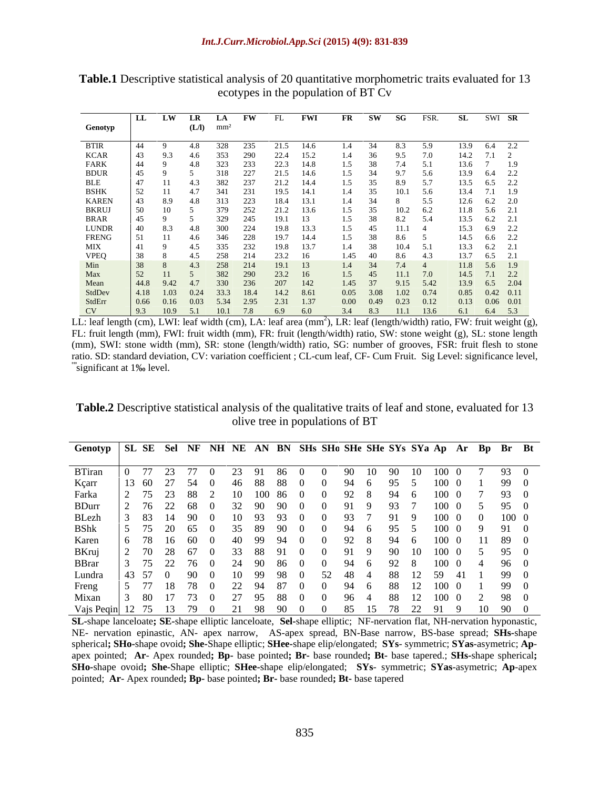|                                                       |                                                                  |                         | W LR LA FW FL FWI                                                             |           |                |                  | FR SW SG FSR. SL SWI SR                                                                                                           |
|-------------------------------------------------------|------------------------------------------------------------------|-------------------------|-------------------------------------------------------------------------------|-----------|----------------|------------------|-----------------------------------------------------------------------------------------------------------------------------------|
| Genotyp                                               |                                                                  | $(L/I)$ mm <sup>2</sup> |                                                                               |           |                |                  |                                                                                                                                   |
|                                                       |                                                                  |                         |                                                                               |           |                |                  |                                                                                                                                   |
| BTIR<br>KCAR<br>FARK                                  |                                                                  | 4.8 328 235             | 21.5 14.6                                                                     |           | 1.4 34         | 8.3 5.9          | 13.9 6.4 2.2                                                                                                                      |
|                                                       |                                                                  | 4.6                     | 353 290 22.4                                                                  | 15.2      | 9.5<br>1.4     | 7.0              | 14.2 7.1                                                                                                                          |
|                                                       |                                                                  | 4.8                     | 22.3 14.8<br>323 233                                                          |           | 1.5            | 7.4 5.1          | 13.6 7 1.9                                                                                                                        |
| BDUR<br>BLE<br>BSHK                                   |                                                                  | 318                     | 21.5 14.6<br>227                                                              |           | 1.5            | 9.7 5.6          | 13.9 6.4 2.2                                                                                                                      |
|                                                       |                                                                  |                         | 237<br>21.2                                                                   | 14.4      | 1.5            | 8.9 5.7          | 13.5 6.5 2.2                                                                                                                      |
|                                                       |                                                                  |                         | 19.5 14.1<br>341 231                                                          |           | 1.4 35         | $10.1$ 5.6       | 13.4 7.1 1.9                                                                                                                      |
| <b>KAREN</b>                                          |                                                                  | 8.9 4.8                 | 313 223<br>18.4 13.1                                                          |           | 1.4 34         | 5.5              | $12.6$ $6.2$ $2.0$                                                                                                                |
|                                                       |                                                                  |                         | 379 252 21.2                                                                  | 13.6      | 1.5            | $10.2\qquad 6.2$ | 11.8 5.6 2.1                                                                                                                      |
| BKRUJ<br>BRAR<br>LUNDR                                |                                                                  | 329                     | 19.1 13<br>245                                                                |           |                |                  | $13.5$ $6.2$ $2.1$                                                                                                                |
|                                                       |                                                                  | 300                     | 19.8<br>224                                                                   | 13.3      | 1.5            | $11.1 \t 4$      | 15.3 6.9 2.2                                                                                                                      |
| ${\tt FRENG}$                                         |                                                                  | 4.6 346 228             | 19.7                                                                          | 14.4      | 1.5            | 8.6 5            | 14.5 6.6 2.2                                                                                                                      |
|                                                       |                                                                  | 335                     | 232<br>19.8                                                                   |           | 10.4<br>1.4 38 |                  | $13.3$ $6.2$ $2.1$                                                                                                                |
|                                                       |                                                                  |                         | 23.2 16<br>258 214                                                            |           | 1.45 40        | 8.6 4.3          | 13.7 6.5 2.1                                                                                                                      |
| MIX<br>VPEQ<br>Min<br>Max<br>Mean<br>StdDev<br>StdErr | $\frac{1}{38}$                                                   | $4.3$ 258               | 19.1 13<br>214                                                                |           | 1.4 34         | 7.4 4            | 11.8 5.6 1.9                                                                                                                      |
|                                                       |                                                                  |                         | 382 290 23.2                                                                  |           | 11.1           | 7.0              | $14.5$ 7.1 2.2                                                                                                                    |
|                                                       | $ 44.8\rangle$                                                   |                         | 9.42 4.7 330 236 207 142                                                      |           |                |                  | 9.15 5.42 13.9 6.5 2.04                                                                                                           |
|                                                       | $\begin{bmatrix} 4.18 & 1.03 & 0.24 & 33.3 & 18.4 \end{bmatrix}$ |                         | 14.2 8.61                                                                     |           |                |                  | $\begin{array}{cccccc} 1.45 & 37 & 9.15 & 5.42 & 13.9 & 6.5 & 2.04 \\ 0.05 & 3.08 & 1.02 & 0.74 & 0.85 & 0.42 & 0.11 \end{array}$ |
|                                                       |                                                                  |                         |                                                                               |           |                |                  | $0.13$ $0.06$ $0.01$                                                                                                              |
|                                                       | $0.66$ $0.16$ $0.03$                                             |                         | 5.34 2.95                                                                     | 2.31 1.37 | $0.00 \t 0.49$ | $0.23$ 0.12      |                                                                                                                                   |
| CV O                                                  |                                                                  |                         | $\begin{array}{cccccc} 9.3 & 10.9 & 5.1 & 10.1 & 7.8 & 6.9 & 6.0 \end{array}$ |           |                |                  | 3.4 8.3 11.1 13.6 6.1 6.4 5.3                                                                                                     |

**Table.1** Descriptive statistical analysis of 20 quantitative morphometric traits evaluated for 13 ecotypes in the population of BT Cv

LL: leaf length (cm), LWI: leaf width (cm), LA: leaf area (mm<sup>2</sup>), LR: leaf (length/width) ratio, FW: fruit weight (g), FL: fruit length (mm), FWI: fruit width (mm), FR: fruit (length/width) ratio, SW: stone weight (g), SL: stone length (mm), SWI: stone width (mm), SR: stone (length/width) ratio, SG: number of grooves, FSR: fruit flesh to stone ratio. SD: standard deviation, CV: variation coefficient ; CL-cum leaf, CF- Cum Fruit. Sig Level: significance level, \*\*\* significant at 1‰ level.

**Table.2** Descriptive statistical analysis of the qualitative traits of leaf and stone, evaluated for 13 olive tree in populations of BT

| Genotyp   SL SE Sel NF NH NE AN BN SHs SHo SHe SHe SYs SYa Ap Ar Bp Br Bt |  |       |                                    |                               |     |             |                |                        |                |        |                |  |
|---------------------------------------------------------------------------|--|-------|------------------------------------|-------------------------------|-----|-------------|----------------|------------------------|----------------|--------|----------------|--|
|                                                                           |  |       |                                    |                               |     |             |                |                        |                |        |                |  |
| <b>BTiran</b>                                                             |  |       |                                    |                               |     |             |                | 100 0                  |                | - 93   |                |  |
| Kçarr                                                                     |  | -54   | - 88<br>88 X                       |                               |     | - 95        |                | 100 0                  |                |        | 99             |  |
| Farka                                                                     |  | -88   | 10086                              |                               |     | - 94        |                | 100 0                  |                |        | $93\quad b$    |  |
| <b>BDurr</b>                                                              |  | -68   |                                    |                               |     | - 93        |                | 100 0                  |                | 5 95 0 |                |  |
| BLezh                                                                     |  | - 90- |                                    |                               |     | 91          |                | 100 0                  | $\overline{0}$ |        | 100 0          |  |
| <b>BShk</b>                                                               |  |       |                                    |                               |     | - 95        |                | 100 0                  |                | 9 91 0 |                |  |
| Karen                                                                     |  |       |                                    |                               |     | 94          | $\overline{a}$ | 100 0                  |                |        | 11 89 0        |  |
| BKruj                                                                     |  |       | XX.                                |                               |     | - 90        |                | 100 0                  |                | 5 95 0 |                |  |
| <b>BBrar</b>                                                              |  |       | 86 K                               |                               | -94 | $\sim$ 92 8 |                | 100 0 4 96 0           |                |        |                |  |
| Lundra                                                                    |  | $-90$ |                                    |                               |     | - 88 -      |                | $12 \quad 59 \quad 41$ |                |        | 99             |  |
| Freng                                                                     |  | 18 78 | - 87                               | $\bigcup$<br>$\left( \right)$ | -94 | - 88        |                | 100 0                  |                |        | 99 (           |  |
| Mixan                                                                     |  |       | - 88                               |                               | -96 | - 88        |                | 100 0                  |                |        | $2 \t 98 \t 0$ |  |
| Vajs Peqin 12 75 13 79 0                                                  |  |       | 98 90 0 0 85 15 78 22 91 9 10 90 0 |                               |     |             |                |                        |                |        |                |  |

**SL-**shape lanceloate**; SE-**shape elliptic lanceloate, **Sel-**shape elliptic; NF-nervation flat, NH-nervation hyponastic, NE- nervation epinastic, AN- apex narrow, AS-apex spread, BN-Base narrow, BS-base spread; **SHs-**shape spherical**; SHo-**shape ovoid**; She-**Shape elliptic; **SHee-**shape elip/elongated; **SYs**- symmetric; **SYas**-asymetric; **Ap** apex pointed; **Ar**- Apex rounded**; Bp-** base pointed**; Br-** base rounded**; Bt-** base tapered.; **SHs-**shape spherical**; SHo-**shape ovoid**; She-**Shape elliptic; **SHee-**shape elip/elongated; **SYs**- symmetric; **SYas**-asymetric; **Ap**-apex pointed; **Ar**- Apex rounded**; Bp-** base pointed**; Br-** base rounded**; Bt-** base tapered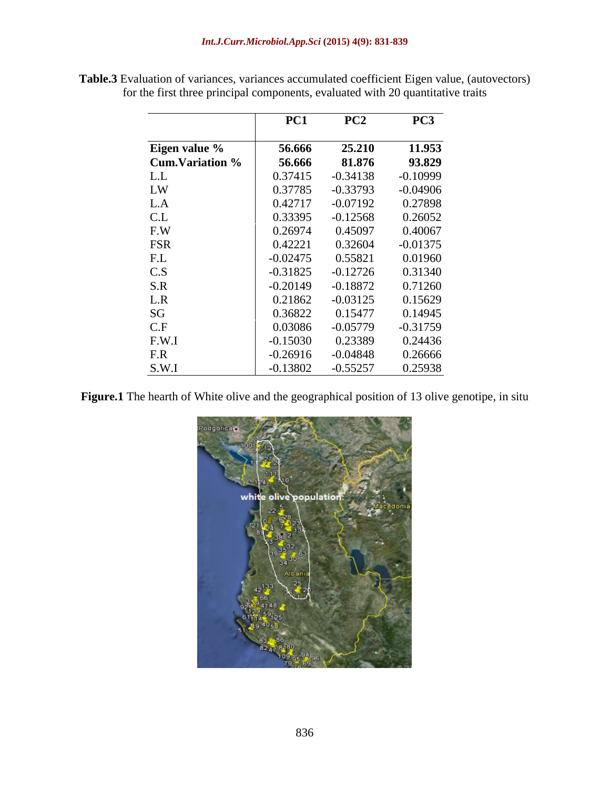|                                | PC1        | PC2        | PC <sub>3</sub>     |
|--------------------------------|------------|------------|---------------------|
|                                |            |            |                     |
| Eigen value %                  | 56.666     | 25.210     | $\overline{11.953}$ |
| <b>Cum.Variation %</b>         | 56.666     | 81.876     | 93.829              |
|                                | 0.37415    | $-0.34138$ | $-0.10999$          |
| $L.L$<br>$LW$                  | 0.37785    | $-0.33793$ | $-0.04906$          |
| L.A                            | 0.42717    | $-0.07192$ | 0.27898             |
|                                | 0.33395    | $-0.12568$ | 0.26052             |
| $C.L$<br>$F.W$                 | 0.26974    | 0.45097    | 0.40067             |
| FSR                            | 0.42221    | 0.32604    | $-0.01375$          |
| F.L<br>C.S<br>S.R<br>L.R<br>SG | $-0.02475$ | 0.55821    | 0.01960             |
|                                | $-0.31825$ | $-0.12726$ | 0.31340             |
|                                | $-0.20149$ | $-0.18872$ | 0.71260             |
|                                | 0.21862    | $-0.03125$ | 0.15629             |
|                                | 0.36822    | 0.15477    | 0.14945             |
| C.F                            | 0.03086    | $-0.05779$ | $-0.31759$          |
| F.W.I                          | $-0.15030$ | 0.23389    | 0.24436             |
| F.R                            | $-0.26916$ | $-0.04848$ | 0.26666             |
| S.W.I                          | $-0.13802$ | $-0.55257$ | 0.25938             |

**Table.3** Evaluation of variances, variances accumulated coefficient Eigen value, (autovectors) for the first three principal components, evaluated with 20 quantitative traits

**Figure.1** The hearth of White olive and the geographical position of 13 olive genotipe, in situ

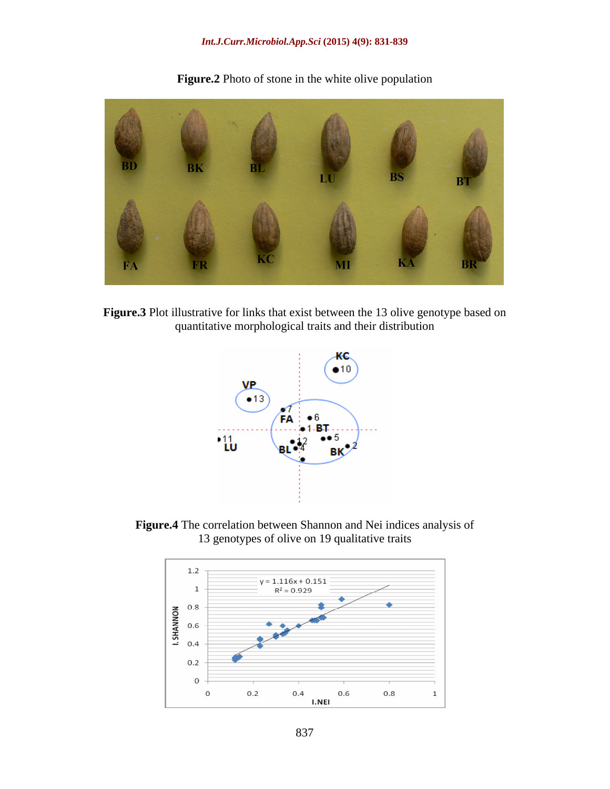### *Int.J.Curr.Microbiol.App.Sci* **(2015) 4(9): 831-839**



**Figure.2** Photo of stone in the white olive population





**Figure.4** The correlation between Shannon and Nei indices analysis of 13 genotypes of olive on 19 qualitative traits

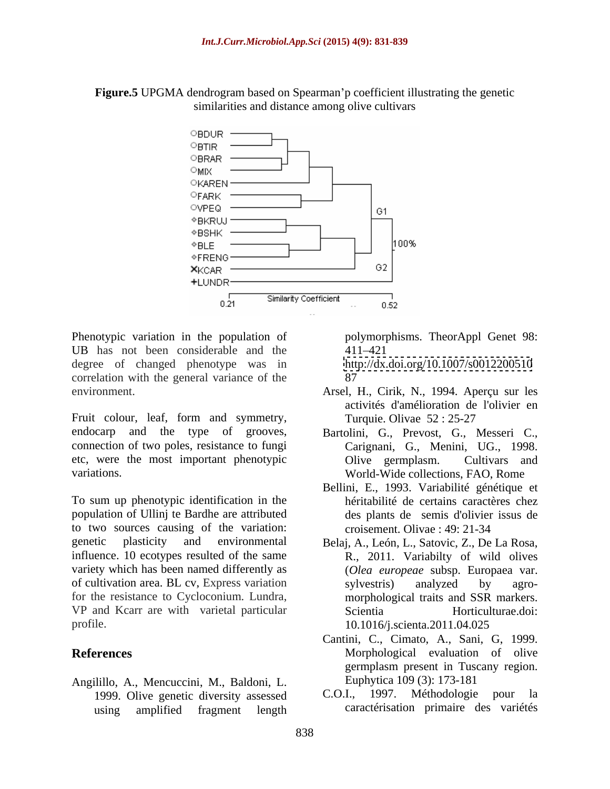### **Figure.5** UPGMA dendrogram based on Spearman'p coefficient illustrating the genetic similarities and distance among olive cultivars



Phenotypic variation in the population of UB has not been considerable and the 411-421 degree of changed phenotype was in correlation with the general variance of the 87 environment. Arsel, H., Cirik, N., 1994. Aperçu sur les

Fruit colour, leaf, form and symmetry, Turquie Olivae 52:25-27 etc, were the most important phenotypic

To sum up phenotypic identification in the population of Ullinj te Bardhe are attributed to two sources causing of the variation: genetic plasticity and environmental Belaj, A., León, L., Satovic, Z., De La Rosa, influence. 10 ecotypes resulted of the same R., 2011. Variabilty of wild olives variety which has been named differently as of cultivation area. BL cv, Express variation for the resistance to Cycloconium. Lundra, and morphological traits and SSR markers.<br>VP and Kcarr are with varietal particular Scientia Horticulturae.doi: profile. 10.1016/j.scienta.2011.04.025

Angilillo, A., Mencuccini, M., Baldoni, L.<br>1999 Olive genetic diversity assessed C.O.I., 1997. Méthodologie pour using amplified fragment length caractérisation primaire des variétés

polymorphisms. TheorAppl Genet 98: 411 421

<http://dx.doi.org/10.1007/s0012200510> 87

- activités d'amélioration de l'olivier en Turquie. Olivae 52 : 25-27
- endocarp and the type of grooves, Bartolini, G., Prevost, G., Messeri C., connection of two poles, resistance to fungi Carignani, G., Menini, UG., 1998. variations. World-Wide collections, FAO, Rome Olive germplasm. Cultivars and
	- Bellini, E., 1993. Variabilité génétique et héritabilité de certains caractères chez des plants de semis d'olivier issus de croisement. Olivae : 49: 21-34
	- (*Olea europeae* subsp. Europaea var. sylvestris) analyzed by agro morphological traits and SSR markers. Scientia Horticulturae.doi:
- **References** Morphological evaluation of olive Cantini, C., Cimato, A., Sani, G, 1999. germplasm present in Tuscany region. Euphytica 109 (3): 173-181
	- 1999. Olive genetic diversity assessed C.O.I., 1997. Méthodologie pour la C.O.I., 1997. Méthodologie